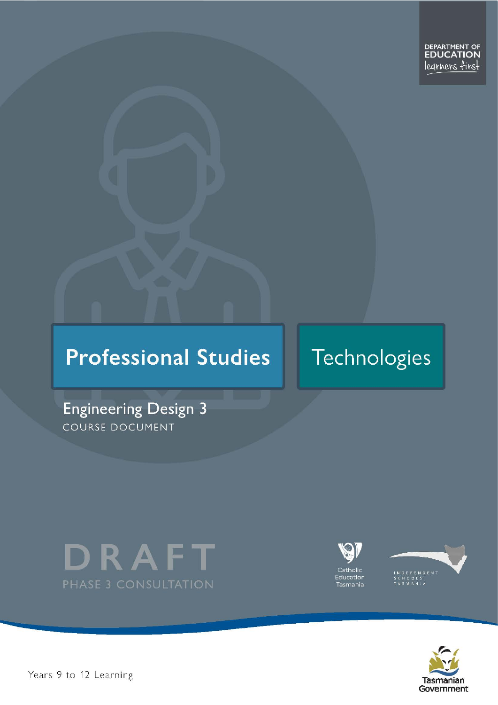# **Professional Studies**

# Technologies

**Engineering Design 3** COURSE DOCUMENT







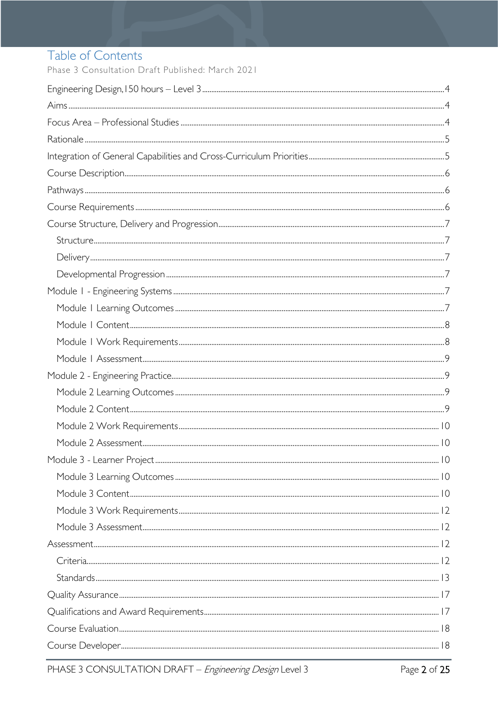# Table of Contents

Phase 3 Consultation Draft Published: March 2021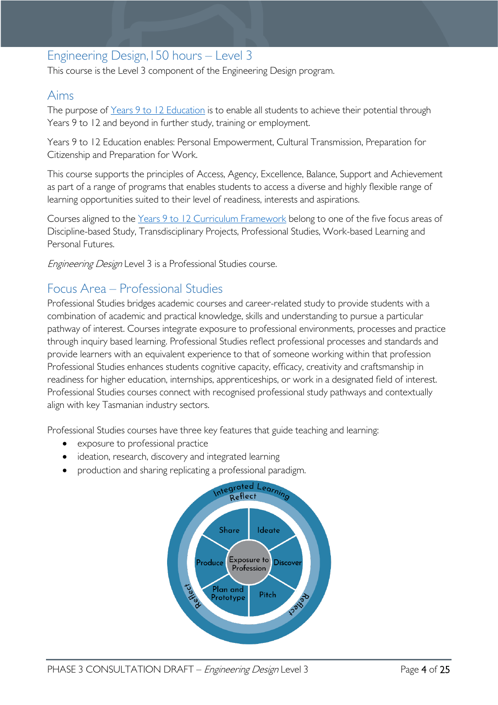### <span id="page-3-0"></span>Engineering Design,150 hours – Level 3

This course is the Level 3 component of the Engineering Design program.

### <span id="page-3-1"></span>Aims

The purpose of Years 9 to 12 [Education](https://publicdocumentcentre.education.tas.gov.au/library/Shared%20Documents/Years-9-to-12-Education-Framework.pdf) is to enable all students to achieve their potential through Years 9 to 12 and beyond in further study, training or employment.

Years 9 to 12 Education enables: Personal Empowerment, Cultural Transmission, Preparation for Citizenship and Preparation for Work.

This course supports the principles of Access, Agency, Excellence, Balance, Support and Achievement as part of a range of programs that enables students to access a diverse and highly flexible range of learning opportunities suited to their level of readiness, interests and aspirations.

Courses aligned to the Years 9 to 12 Curriculum [Framework](https://publicdocumentcentre.education.tas.gov.au/library/Shared%20Documents/Education%209-12%20Frameworks%20A3%20WEB%20POSTER.pdf) belong to one of the five focus areas of Discipline-based Study, Transdisciplinary Projects, Professional Studies, Work-based Learning and Personal Futures.

Engineering Design Level 3 is a Professional Studies course.

### <span id="page-3-2"></span>Focus Area – Professional Studies

Professional Studies bridges academic courses and career-related study to provide students with a combination of academic and practical knowledge, skills and understanding to pursue a particular pathway of interest. Courses integrate exposure to professional environments, processes and practice through inquiry based learning. Professional Studies reflect professional processes and standards and provide learners with an equivalent experience to that of someone working within that profession Professional Studies enhances students cognitive capacity, efficacy, creativity and craftsmanship in readiness for higher education, internships, apprenticeships, or work in a designated field of interest. Professional Studies courses connect with recognised professional study pathways and contextually align with key Tasmanian industry sectors.

Professional Studies courses have three key features that guide teaching and learning:

- exposure to professional practice
- ideation, research, discovery and integrated learning
- production and sharing replicating a professional paradigm.

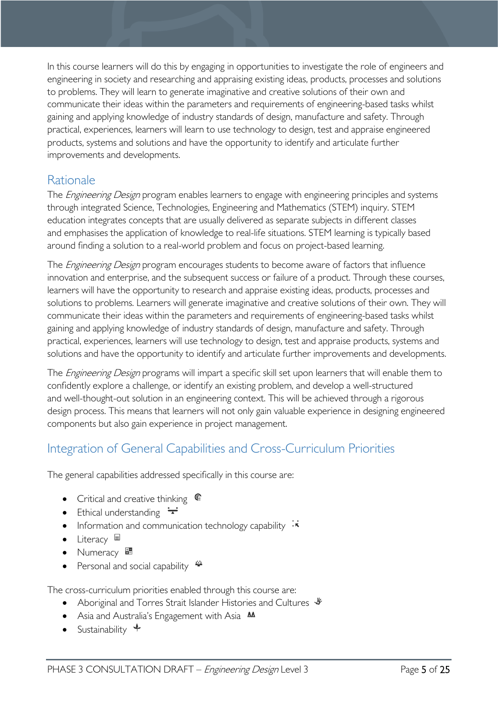In this course learners will do this by engaging in opportunities to investigate the role of engineers and engineering in society and researching and appraising existing ideas, products, processes and solutions to problems. They will learn to generate imaginative and creative solutions of their own and communicate their ideas within the parameters and requirements of engineering-based tasks whilst gaining and applying knowledge of industry standards of design, manufacture and safety. Through practical, experiences, learners will learn to use technology to design, test and appraise engineered products, systems and solutions and have the opportunity to identify and articulate further improvements and developments.

### <span id="page-4-0"></span>Rationale

The *Engineering Design* program enables learners to engage with engineering principles and systems through integrated Science, Technologies, Engineering and Mathematics (STEM) inquiry. STEM education integrates concepts that are usually delivered as separate subjects in different classes and emphasises the application of knowledge to real-life situations. STEM learning is typically based around finding a solution to a real-world problem and focus on project-based learning.

The *Engineering Design* program encourages students to become aware of factors that influence innovation and enterprise, and the subsequent success or failure of a product. Through these courses, learners will have the opportunity to research and appraise existing ideas, products, processes and solutions to problems. Learners will generate imaginative and creative solutions of their own. They will communicate their ideas within the parameters and requirements of engineering-based tasks whilst gaining and applying knowledge of industry standards of design, manufacture and safety. Through practical, experiences, learners will use technology to design, test and appraise products, systems and solutions and have the opportunity to identify and articulate further improvements and developments.

The *Engineering Design* programs will impart a specific skill set upon learners that will enable them to confidently explore a challenge, or identify an existing problem, and develop a well-structured and well-thought-out solution in an engineering context. This will be achieved through a rigorous design process. This means that learners will not only gain valuable experience in designing engineered components but also gain experience in project management.

# <span id="page-4-1"></span>Integration of General Capabilities and Cross-Curriculum Priorities

The general capabilities addressed specifically in this course are:

- Critical and creative thinking  $\mathbb{C}$
- Ethical understanding  $\div$
- Information and communication technology capability  $\cdot\overline{\cdot}$
- Literacy
- Numeracy  $\frac{1}{2}$
- Personal and social capability  $\ddot{\ddot{\bullet}}$

The cross-curriculum priorities enabled through this course are:

- Aboriginal and Torres Strait Islander Histories and Cultures  $\mathcal V$
- Asia and Australia's Engagement with Asia **AA**
- Sustainability  $\triangleleft$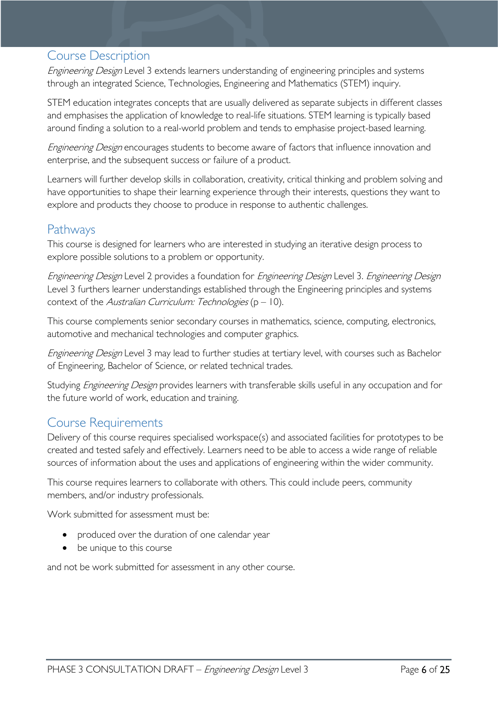### <span id="page-5-0"></span>Course Description

Engineering Design Level 3 extends learners understanding of engineering principles and systems through an integrated Science, Technologies, Engineering and Mathematics (STEM) inquiry.

STEM education integrates concepts that are usually delivered as separate subjects in different classes and emphasises the application of knowledge to real-life situations. STEM learning is typically based around finding a solution to a real-world problem and tends to emphasise project-based learning.

Engineering Design encourages students to become aware of factors that influence innovation and enterprise, and the subsequent success or failure of a product.

Learners will further develop skills in collaboration, creativity, critical thinking and problem solving and have opportunities to shape their learning experience through their interests, questions they want to explore and products they choose to produce in response to authentic challenges.

### <span id="page-5-1"></span>Pathways

This course is designed for learners who are interested in studying an iterative design process to explore possible solutions to a problem or opportunity.

Engineering Design Level 2 provides a foundation for Engineering Design Level 3. Engineering Design Level 3 furthers learner understandings established through the Engineering principles and systems context of the Australian Curriculum: Technologies  $(p - 10)$ .

This course complements senior secondary courses in mathematics, science, computing, electronics, automotive and mechanical technologies and computer graphics.

Engineering Design Level 3 may lead to further studies at tertiary level, with courses such as Bachelor of Engineering, Bachelor of Science, or related technical trades.

Studying *Engineering Design* provides learners with transferable skills useful in any occupation and for the future world of work, education and training.

### <span id="page-5-2"></span>Course Requirements

Delivery of this course requires specialised workspace(s) and associated facilities for prototypes to be created and tested safely and effectively. Learners need to be able to access a wide range of reliable sources of information about the uses and applications of engineering within the wider community.

This course requires learners to collaborate with others. This could include peers, community members, and/or industry professionals.

Work submitted for assessment must be:

- produced over the duration of one calendar year
- be unique to this course

and not be work submitted for assessment in any other course.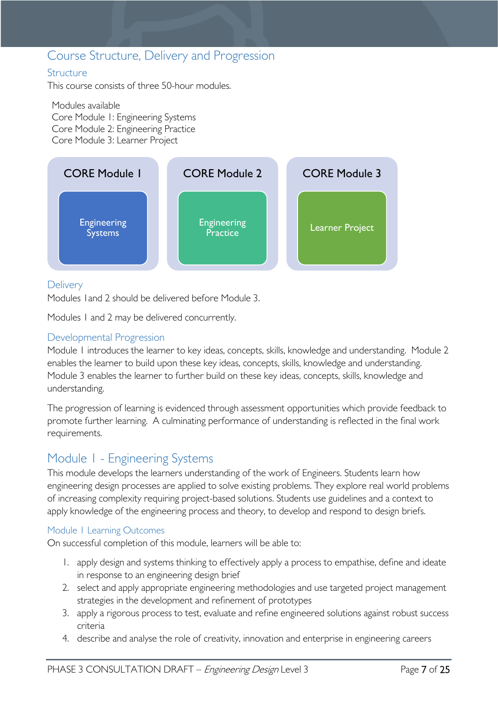### <span id="page-6-0"></span>Course Structure, Delivery and Progression

#### <span id="page-6-1"></span>**Structure**

This course consists of three 50-hour modules.

Modules available Core Module 1: Engineering Systems Core Module 2: Engineering Practice Core Module 3: Learner Project



#### <span id="page-6-2"></span>**Delivery**

Modules 1and 2 should be delivered before Module 3.

Modules 1 and 2 may be delivered concurrently.

#### <span id="page-6-3"></span>Developmental Progression

Module 1 introduces the learner to key ideas, concepts, skills, knowledge and understanding. Module 2 enables the learner to build upon these key ideas, concepts, skills, knowledge and understanding. Module 3 enables the learner to further build on these key ideas, concepts, skills, knowledge and understanding.

The progression of learning is evidenced through assessment opportunities which provide feedback to promote further learning. A culminating performance of understanding is reflected in the final work requirements.

### <span id="page-6-4"></span>Module 1 - Engineering Systems

This module develops the learners understanding of the work of Engineers. Students learn how engineering design processes are applied to solve existing problems. They explore real world problems of increasing complexity requiring project-based solutions. Students use guidelines and a context to apply knowledge of the engineering process and theory, to develop and respond to design briefs.

#### <span id="page-6-5"></span>Module 1 Learning Outcomes

On successful completion of this module, learners will be able to:

- 1. apply design and systems thinking to effectively apply a process to empathise, define and ideate in response to an engineering design brief
- 2. select and apply appropriate engineering methodologies and use targeted project management strategies in the development and refinement of prototypes
- 3. apply a rigorous process to test, evaluate and refine engineered solutions against robust success criteria
- 4. describe and analyse the role of creativity, innovation and enterprise in engineering careers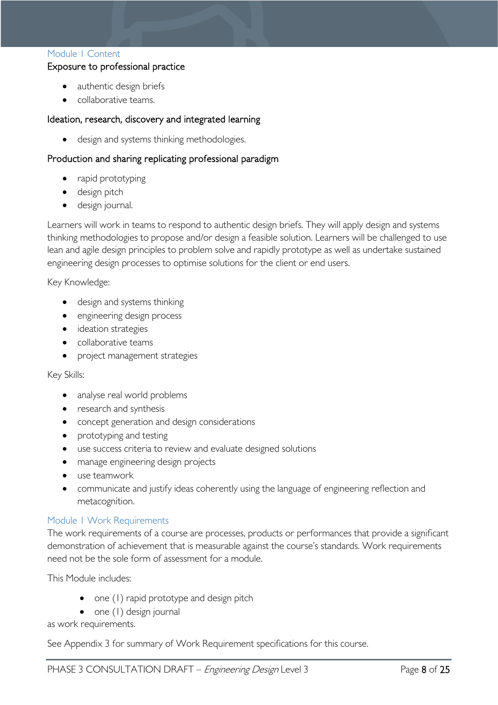#### <span id="page-7-0"></span>Module 1 Content

#### Exposure to professional practice

- authentic design briefs
- collaborative teams.

#### Ideation, research, discovery and integrated learning

• design and systems thinking methodologies.

#### Production and sharing replicating professional paradigm

- rapid prototyping
- design pitch
- design journal.

Learners will work in teams to respond to authentic design briefs. They will apply design and systems thinking methodologies to propose and/or design a feasible solution. Learners will be challenged to use lean and agile design principles to problem solve and rapidly prototype as well as undertake sustained engineering design processes to optimise solutions for the client or end users.

Key Knowledge:

- design and systems thinking
- engineering design process
- ideation strategies
- collaborative teams
- project management strategies

Key Skills:

- analyse real world problems
- research and synthesis
- concept generation and design considerations
- prototyping and testing
- use success criteria to review and evaluate designed solutions
- manage engineering design projects
- use teamwork
- communicate and justify ideas coherently using the language of engineering reflection and metacognition.

#### <span id="page-7-1"></span>Module 1 Work Requirements

The work requirements of a course are processes, products or performances that provide a significant demonstration of achievement that is measurable against the course's standards. Work requirements need not be the sole form of assessment for a module.

This Module includes:

- one (1) rapid prototype and design pitch
- one (1) design journal

as work requirements.

See Appendix 3 for summary of Work Requirement specifications for this course.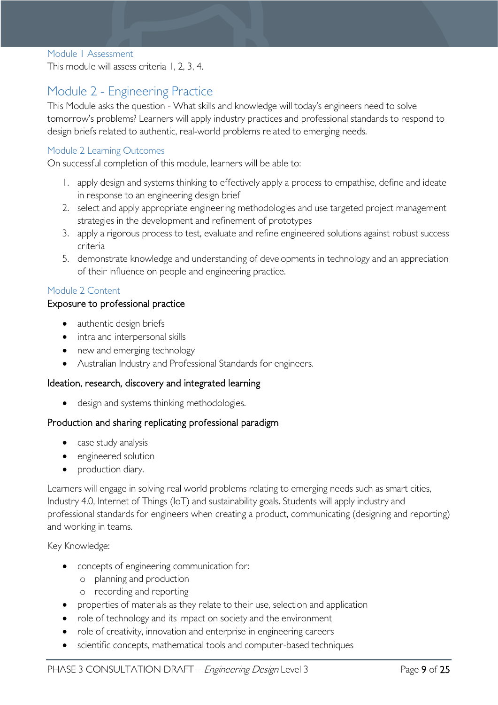#### <span id="page-8-0"></span>Module 1 Assessment

This module will assess criteria 1, 2, 3, 4.

### <span id="page-8-1"></span>Module 2 - Engineering Practice

This Module asks the question - What skills and knowledge will today's engineers need to solve tomorrow's problems? Learners will apply industry practices and professional standards to respond to design briefs related to authentic, real-world problems related to emerging needs.

#### <span id="page-8-2"></span>Module 2 Learning Outcomes

On successful completion of this module, learners will be able to:

- 1. apply design and systems thinking to effectively apply a process to empathise, define and ideate in response to an engineering design brief
- 2. select and apply appropriate engineering methodologies and use targeted project management strategies in the development and refinement of prototypes
- 3. apply a rigorous process to test, evaluate and refine engineered solutions against robust success criteria
- 5. demonstrate knowledge and understanding of developments in technology and an appreciation of their influence on people and engineering practice.

#### <span id="page-8-3"></span>Module 2 Content

#### Exposure to professional practice

- authentic design briefs
- intra and interpersonal skills
- new and emerging technology
- Australian Industry and Professional Standards for engineers.

#### Ideation, research, discovery and integrated learning

• design and systems thinking methodologies.

#### Production and sharing replicating professional paradigm

- case study analysis
- engineered solution
- production diary.

Learners will engage in solving real world problems relating to emerging needs such as smart cities, Industry 4.0, Internet of Things (IoT) and sustainability goals. Students will apply industry and professional standards for engineers when creating a product, communicating (designing and reporting) and working in teams.

Key Knowledge:

- concepts of engineering communication for:
	- o planning and production
	- o recording and reporting
- properties of materials as they relate to their use, selection and application
- role of technology and its impact on society and the environment
- role of creativity, innovation and enterprise in engineering careers
- scientific concepts, mathematical tools and computer-based techniques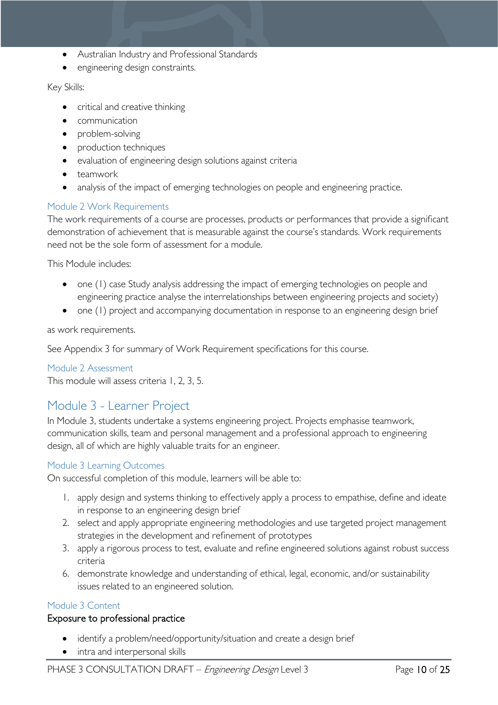- Australian Industry and Professional Standards
- engineering design constraints.

#### Key Skills:

- critical and creative thinking
- communication
- problem-solving
- production techniques
- evaluation of engineering design solutions against criteria
- teamwork
- analysis of the impact of emerging technologies on people and engineering practice.

#### <span id="page-9-0"></span>Module 2 Work Requirements

The work requirements of a course are processes, products or performances that provide a significant demonstration of achievement that is measurable against the course's standards. Work requirements need not be the sole form of assessment for a module.

This Module includes:

- one (1) case Study analysis addressing the impact of emerging technologies on people and engineering practice analyse the interrelationships between engineering projects and society)
- one (1) project and accompanying documentation in response to an engineering design brief

as work requirements.

See Appendix 3 for summary of Work Requirement specifications for this course.

#### <span id="page-9-1"></span>Module 2 Assessment

This module will assess criteria 1, 2, 3, 5.

# <span id="page-9-2"></span>Module 3 - Learner Project

In Module 3, students undertake a systems engineering project. Projects emphasise teamwork, communication skills, team and personal management and a professional approach to engineering design, all of which are highly valuable traits for an engineer.

#### <span id="page-9-3"></span>Module 3 Learning Outcomes

On successful completion of this module, learners will be able to:

- 1. apply design and systems thinking to effectively apply a process to empathise, define and ideate in response to an engineering design brief
- 2. select and apply appropriate engineering methodologies and use targeted project management strategies in the development and refinement of prototypes
- 3. apply a rigorous process to test, evaluate and refine engineered solutions against robust success criteria
- 6. demonstrate knowledge and understanding of ethical, legal, economic, and/or sustainability issues related to an engineered solution.

#### <span id="page-9-4"></span>Module 3 Content

#### Exposure to professional practice

- identify a problem/need/opportunity/situation and create a design brief
- intra and interpersonal skills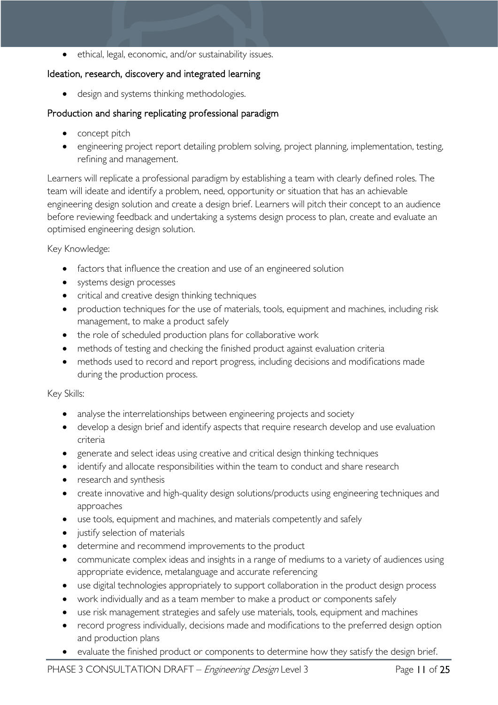ethical, legal, economic, and/or sustainability issues.

#### Ideation, research, discovery and integrated learning

• design and systems thinking methodologies.

#### Production and sharing replicating professional paradigm

- concept pitch
- engineering project report detailing problem solving, project planning, implementation, testing, refining and management.

Learners will replicate a professional paradigm by establishing a team with clearly defined roles. The team will ideate and identify a problem, need, opportunity or situation that has an achievable engineering design solution and create a design brief. Learners will pitch their concept to an audience before reviewing feedback and undertaking a systems design process to plan, create and evaluate an optimised engineering design solution.

Key Knowledge:

- factors that influence the creation and use of an engineered solution
- systems design processes
- critical and creative design thinking techniques
- production techniques for the use of materials, tools, equipment and machines, including risk management, to make a product safely
- the role of scheduled production plans for collaborative work
- methods of testing and checking the finished product against evaluation criteria
- methods used to record and report progress, including decisions and modifications made during the production process.

Key Skills:

- analyse the interrelationships between engineering projects and society
- develop a design brief and identify aspects that require research develop and use evaluation criteria
- generate and select ideas using creative and critical design thinking techniques
- identify and allocate responsibilities within the team to conduct and share research
- research and synthesis
- create innovative and high-quality design solutions/products using engineering techniques and approaches
- use tools, equipment and machines, and materials competently and safely
- justify selection of materials
- determine and recommend improvements to the product
- communicate complex ideas and insights in a range of mediums to a variety of audiences using appropriate evidence, metalanguage and accurate referencing
- use digital technologies appropriately to support collaboration in the product design process
- work individually and as a team member to make a product or components safely
- use risk management strategies and safely use materials, tools, equipment and machines
- record progress individually, decisions made and modifications to the preferred design option and production plans
- evaluate the finished product or components to determine how they satisfy the design brief.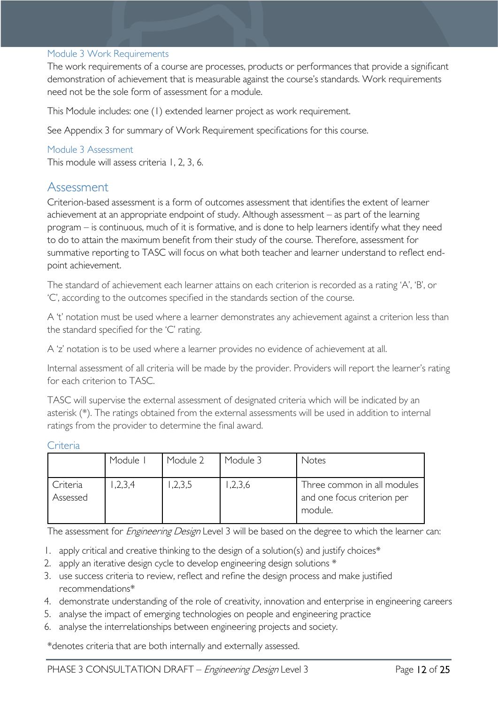#### <span id="page-11-0"></span>Module 3 Work Requirements

The work requirements of a course are processes, products or performances that provide a significant demonstration of achievement that is measurable against the course's standards. Work requirements need not be the sole form of assessment for a module.

This Module includes: one (1) extended learner project as work requirement.

See Appendix 3 for summary of Work Requirement specifications for this course.

#### <span id="page-11-1"></span>Module 3 Assessment

This module will assess criteria 1, 2, 3, 6.

### <span id="page-11-2"></span>Assessment

Criterion-based assessment is a form of outcomes assessment that identifies the extent of learner achievement at an appropriate endpoint of study. Although assessment – as part of the learning program – is continuous, much of it is formative, and is done to help learners identify what they need to do to attain the maximum benefit from their study of the course. Therefore, assessment for summative reporting to TASC will focus on what both teacher and learner understand to reflect endpoint achievement.

The standard of achievement each learner attains on each criterion is recorded as a rating 'A', 'B', or 'C', according to the outcomes specified in the standards section of the course.

A 't' notation must be used where a learner demonstrates any achievement against a criterion less than the standard specified for the 'C' rating.

A 'z' notation is to be used where a learner provides no evidence of achievement at all.

Internal assessment of all criteria will be made by the provider. Providers will report the learner's rating for each criterion to TASC.

TASC will supervise the external assessment of designated criteria which will be indicated by an asterisk (\*). The ratings obtained from the external assessments will be used in addition to internal ratings from the provider to determine the final award.

<span id="page-11-3"></span>

|  | . .<br>٠r | я |
|--|-----------|---|
|  |           |   |

|                      | Module I | Module 2 | Module 3 | Notes                                                                 |
|----------------------|----------|----------|----------|-----------------------------------------------------------------------|
| Criteria<br>Assessed | ,2,3,4   | 1,2,3,5  | 1,2,3,6  | Three common in all modules<br>and one focus criterion per<br>module. |

The assessment for *Engineering Design* Level 3 will be based on the degree to which the learner can:

- 1. apply critical and creative thinking to the design of a solution(s) and justify choices\*
- 2. apply an iterative design cycle to develop engineering design solutions \*
- 3. use success criteria to review, reflect and refine the design process and make justified recommendations\*
- 4. demonstrate understanding of the role of creativity, innovation and enterprise in engineering careers
- 5. analyse the impact of emerging technologies on people and engineering practice
- 6. analyse the interrelationships between engineering projects and society.

\*denotes criteria that are both internally and externally assessed.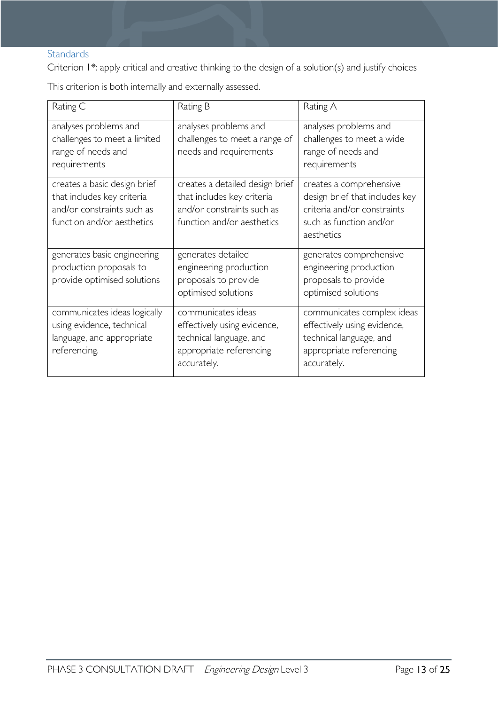### <span id="page-12-0"></span>**Standards**

Criterion 1\*: apply critical and creative thinking to the design of a solution(s) and justify choices

This criterion is both internally and externally assessed.

| Rating C                                                                                                               | Rating B                                                                                                                  | Rating A                                                                                                                          |
|------------------------------------------------------------------------------------------------------------------------|---------------------------------------------------------------------------------------------------------------------------|-----------------------------------------------------------------------------------------------------------------------------------|
| analyses problems and<br>challenges to meet a limited<br>range of needs and<br>requirements                            | analyses problems and<br>challenges to meet a range of<br>needs and requirements                                          | analyses problems and<br>challenges to meet a wide<br>range of needs and<br>requirements                                          |
| creates a basic design brief<br>that includes key criteria<br>and/or constraints such as<br>function and/or aesthetics | creates a detailed design brief<br>that includes key criteria<br>and/or constraints such as<br>function and/or aesthetics | creates a comprehensive<br>design brief that includes key<br>criteria and/or constraints<br>such as function and/or<br>aesthetics |
| generates basic engineering<br>production proposals to<br>provide optimised solutions                                  | generates detailed<br>engineering production<br>proposals to provide<br>optimised solutions                               | generates comprehensive<br>engineering production<br>proposals to provide<br>optimised solutions                                  |
| communicates ideas logically<br>using evidence, technical<br>language, and appropriate<br>referencing.                 | communicates ideas<br>effectively using evidence,<br>technical language, and<br>appropriate referencing<br>accurately.    | communicates complex ideas<br>effectively using evidence,<br>technical language, and<br>appropriate referencing<br>accurately.    |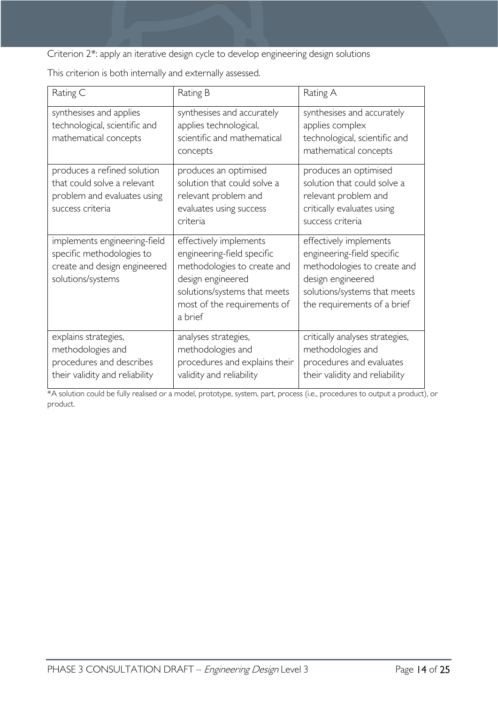Criterion 2\*: apply an iterative design cycle to develop engineering design solutions

| Rating C                                                                                                       | Rating B                                                                                                                                                                           | Rating A                                                                                                                                                                |
|----------------------------------------------------------------------------------------------------------------|------------------------------------------------------------------------------------------------------------------------------------------------------------------------------------|-------------------------------------------------------------------------------------------------------------------------------------------------------------------------|
| synthesises and applies<br>technological, scientific and<br>mathematical concepts                              | synthesises and accurately<br>applies technological,<br>scientific and mathematical<br>concepts                                                                                    | synthesises and accurately<br>applies complex<br>technological, scientific and<br>mathematical concepts                                                                 |
| produces a refined solution<br>that could solve a relevant<br>problem and evaluates using<br>success criteria  | produces an optimised<br>solution that could solve a<br>relevant problem and<br>evaluates using success<br>criteria                                                                | produces an optimised<br>solution that could solve a<br>relevant problem and<br>critically evaluates using<br>success criteria                                          |
| implements engineering-field<br>specific methodologies to<br>create and design engineered<br>solutions/systems | effectively implements<br>engineering-field specific<br>methodologies to create and<br>design engineered<br>solutions/systems that meets<br>most of the requirements of<br>a brief | effectively implements<br>engineering-field specific<br>methodologies to create and<br>design engineered<br>solutions/systems that meets<br>the requirements of a brief |
| explains strategies,<br>methodologies and<br>procedures and describes<br>their validity and reliability        | analyses strategies,<br>methodologies and<br>procedures and explains their<br>validity and reliability                                                                             | critically analyses strategies,<br>methodologies and<br>procedures and evaluates<br>their validity and reliability                                                      |

This criterion is both internally and externally assessed.

\*A solution could be fully realised or a model, prototype, system, part, process (i.e., procedures to output a product), or product.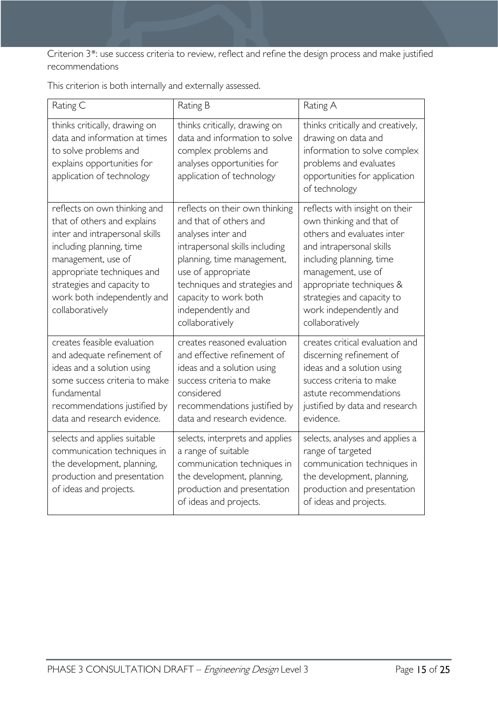Criterion 3\*: use success criteria to review, reflect and refine the design process and make justified recommendations

|  |  | This criterion is both internally and externally assessed. |  |  |  |
|--|--|------------------------------------------------------------|--|--|--|
|--|--|------------------------------------------------------------|--|--|--|

| Rating C                                                                                                                                                                                                                                                      | Rating B                                                                                                                                                                                                                                                               | Rating A                                                                                                                                                                                                                                                                      |
|---------------------------------------------------------------------------------------------------------------------------------------------------------------------------------------------------------------------------------------------------------------|------------------------------------------------------------------------------------------------------------------------------------------------------------------------------------------------------------------------------------------------------------------------|-------------------------------------------------------------------------------------------------------------------------------------------------------------------------------------------------------------------------------------------------------------------------------|
| thinks critically, drawing on<br>data and information at times<br>to solve problems and<br>explains opportunities for<br>application of technology                                                                                                            | thinks critically, drawing on<br>data and information to solve<br>complex problems and<br>analyses opportunities for<br>application of technology                                                                                                                      | thinks critically and creatively,<br>drawing on data and<br>information to solve complex<br>problems and evaluates<br>opportunities for application<br>of technology                                                                                                          |
| reflects on own thinking and<br>that of others and explains<br>inter and intrapersonal skills<br>including planning, time<br>management, use of<br>appropriate techniques and<br>strategies and capacity to<br>work both independently and<br>collaboratively | reflects on their own thinking<br>and that of others and<br>analyses inter and<br>intrapersonal skills including<br>planning, time management,<br>use of appropriate<br>techniques and strategies and<br>capacity to work both<br>independently and<br>collaboratively | reflects with insight on their<br>own thinking and that of<br>others and evaluates inter<br>and intrapersonal skills<br>including planning, time<br>management, use of<br>appropriate techniques &<br>strategies and capacity to<br>work independently and<br>collaboratively |
| creates feasible evaluation<br>and adequate refinement of<br>ideas and a solution using<br>some success criteria to make<br>fundamental<br>recommendations justified by<br>data and research evidence.                                                        | creates reasoned evaluation<br>and effective refinement of<br>ideas and a solution using<br>success criteria to make<br>considered<br>recommendations justified by<br>data and research evidence.                                                                      | creates critical evaluation and<br>discerning refinement of<br>ideas and a solution using<br>success criteria to make<br>astute recommendations<br>justified by data and research<br>evidence.                                                                                |
| selects and applies suitable<br>communication techniques in<br>the development, planning,<br>production and presentation<br>of ideas and projects.                                                                                                            | selects, interprets and applies<br>a range of suitable<br>communication techniques in<br>the development, planning,<br>production and presentation<br>of ideas and projects.                                                                                           | selects, analyses and applies a<br>range of targeted<br>communication techniques in<br>the development, planning,<br>production and presentation<br>of ideas and projects.                                                                                                    |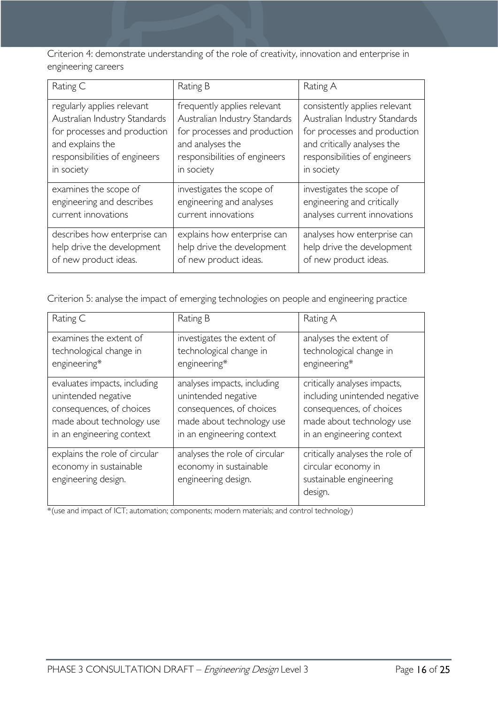Criterion 4: demonstrate understanding of the role of creativity, innovation and enterprise in engineering careers

| Rating C                      | Rating B                      | Rating A                      |
|-------------------------------|-------------------------------|-------------------------------|
| regularly applies relevant    | frequently applies relevant   | consistently applies relevant |
| Australian Industry Standards | Australian Industry Standards | Australian Industry Standards |
| for processes and production  | for processes and production  | for processes and production  |
| and explains the              | and analyses the              | and critically analyses the   |
| responsibilities of engineers | responsibilities of engineers | responsibilities of engineers |
| in society                    | in society                    | in society                    |
| examines the scope of         | investigates the scope of     | investigates the scope of     |
| engineering and describes     | engineering and analyses      | engineering and critically    |
| current innovations           | current innovations           | analyses current innovations  |
| describes how enterprise can  | explains how enterprise can   | analyses how enterprise can   |
| help drive the development    | help drive the development    | help drive the development    |
| of new product ideas.         | of new product ideas.         | of new product ideas.         |

Criterion 5: analyse the impact of emerging technologies on people and engineering practice

| Rating C                                                                       | Rating B                                                                       | Rating A                                                                                     |
|--------------------------------------------------------------------------------|--------------------------------------------------------------------------------|----------------------------------------------------------------------------------------------|
| examines the extent of                                                         | investigates the extent of                                                     | analyses the extent of                                                                       |
| technological change in                                                        | technological change in                                                        | technological change in                                                                      |
| engineering*                                                                   | engineering*                                                                   | engineering*                                                                                 |
| evaluates impacts, including                                                   | analyses impacts, including                                                    | critically analyses impacts,                                                                 |
| unintended negative                                                            | unintended negative                                                            | including unintended negative                                                                |
| consequences, of choices                                                       | consequences, of choices                                                       | consequences, of choices                                                                     |
| made about technology use                                                      | made about technology use                                                      | made about technology use                                                                    |
| in an engineering context                                                      | in an engineering context                                                      | in an engineering context                                                                    |
| explains the role of circular<br>economy in sustainable<br>engineering design. | analyses the role of circular<br>economy in sustainable<br>engineering design. | critically analyses the role of<br>circular economy in<br>sustainable engineering<br>design. |

\*(use and impact of ICT; automation; components; modern materials; and control technology)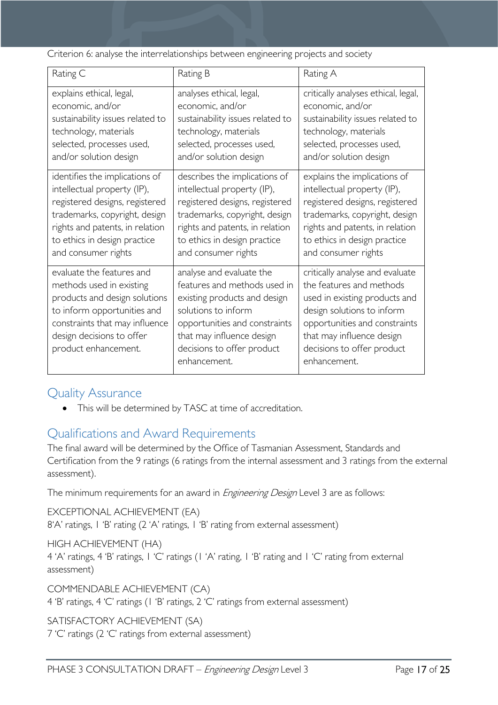Criterion 6: analyse the interrelationships between engineering projects and society

| Rating C                                                                                                                                                                                                     | Rating B                                                                                                                                                                                                                    | Rating A                                                                                                                                                                                                                               |
|--------------------------------------------------------------------------------------------------------------------------------------------------------------------------------------------------------------|-----------------------------------------------------------------------------------------------------------------------------------------------------------------------------------------------------------------------------|----------------------------------------------------------------------------------------------------------------------------------------------------------------------------------------------------------------------------------------|
| explains ethical, legal,                                                                                                                                                                                     | analyses ethical, legal,                                                                                                                                                                                                    | critically analyses ethical, legal,                                                                                                                                                                                                    |
| economic, and/or                                                                                                                                                                                             | economic, and/or                                                                                                                                                                                                            | economic, and/or                                                                                                                                                                                                                       |
| sustainability issues related to                                                                                                                                                                             | sustainability issues related to                                                                                                                                                                                            | sustainability issues related to                                                                                                                                                                                                       |
| technology, materials                                                                                                                                                                                        | technology, materials                                                                                                                                                                                                       | technology, materials                                                                                                                                                                                                                  |
| selected, processes used,                                                                                                                                                                                    | selected, processes used,                                                                                                                                                                                                   | selected, processes used,                                                                                                                                                                                                              |
| and/or solution design                                                                                                                                                                                       | and/or solution design                                                                                                                                                                                                      | and/or solution design                                                                                                                                                                                                                 |
| identifies the implications of                                                                                                                                                                               | describes the implications of                                                                                                                                                                                               | explains the implications of                                                                                                                                                                                                           |
| intellectual property (IP),                                                                                                                                                                                  | intellectual property (IP),                                                                                                                                                                                                 | intellectual property (IP),                                                                                                                                                                                                            |
| registered designs, registered                                                                                                                                                                               | registered designs, registered                                                                                                                                                                                              | registered designs, registered                                                                                                                                                                                                         |
| trademarks, copyright, design                                                                                                                                                                                | trademarks, copyright, design                                                                                                                                                                                               | trademarks, copyright, design                                                                                                                                                                                                          |
| rights and patents, in relation                                                                                                                                                                              | rights and patents, in relation                                                                                                                                                                                             | rights and patents, in relation                                                                                                                                                                                                        |
| to ethics in design practice                                                                                                                                                                                 | to ethics in design practice                                                                                                                                                                                                | to ethics in design practice                                                                                                                                                                                                           |
| and consumer rights                                                                                                                                                                                          | and consumer rights                                                                                                                                                                                                         | and consumer rights                                                                                                                                                                                                                    |
| evaluate the features and<br>methods used in existing<br>products and design solutions<br>to inform opportunities and<br>constraints that may influence<br>design decisions to offer<br>product enhancement. | analyse and evaluate the<br>features and methods used in<br>existing products and design<br>solutions to inform<br>opportunities and constraints<br>that may influence design<br>decisions to offer product<br>enhancement. | critically analyse and evaluate<br>the features and methods<br>used in existing products and<br>design solutions to inform<br>opportunities and constraints<br>that may influence design<br>decisions to offer product<br>enhancement. |

# <span id="page-16-0"></span>Quality Assurance

• This will be determined by TASC at time of accreditation.

# <span id="page-16-1"></span>Qualifications and Award Requirements

The final award will be determined by the Office of Tasmanian Assessment, Standards and Certification from the 9 ratings (6 ratings from the internal assessment and 3 ratings from the external assessment).

The minimum requirements for an award in *Engineering Design* Level 3 are as follows:

EXCEPTIONAL ACHIEVEMENT (EA) 8'A' ratings, 1 'B' rating (2 'A' ratings, 1 'B' rating from external assessment)

HIGH ACHIEVEMENT (HA)

4 'A' ratings, 4 'B' ratings, 1 'C' ratings (1 'A' rating, 1 'B' rating and 1 'C' rating from external assessment)

COMMENDABLE ACHIEVEMENT (CA)

4 'B' ratings, 4 'C' ratings (1 'B' ratings, 2 'C' ratings from external assessment)

SATISFACTORY ACHIEVEMENT (SA)

7 'C' ratings (2 'C' ratings from external assessment)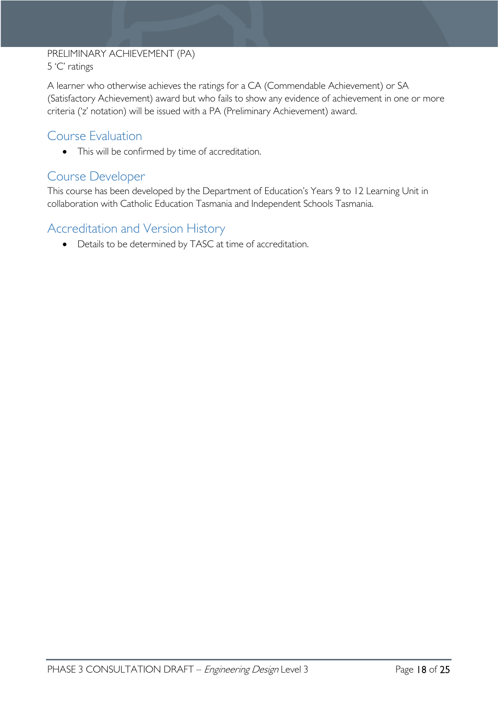#### PRELIMINARY ACHIEVEMENT (PA) 5 'C' ratings

A learner who otherwise achieves the ratings for a CA (Commendable Achievement) or SA (Satisfactory Achievement) award but who fails to show any evidence of achievement in one or more criteria ('z' notation) will be issued with a PA (Preliminary Achievement) award.

# <span id="page-17-0"></span>Course Evaluation

• This will be confirmed by time of accreditation.

### <span id="page-17-1"></span>Course Developer

This course has been developed by the Department of Education's Years 9 to 12 Learning Unit in collaboration with Catholic Education Tasmania and Independent Schools Tasmania.

# <span id="page-17-2"></span>Accreditation and Version History

• Details to be determined by TASC at time of accreditation.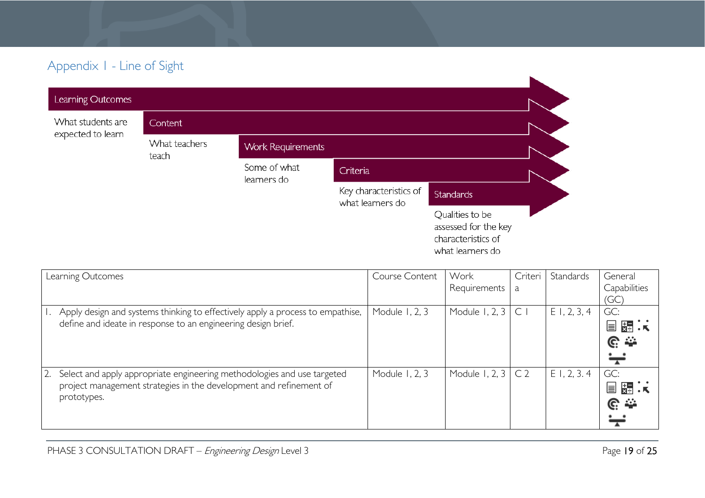# Appendix 1 - Line of Sight

| Learning Outcomes                      |                        |                             |                                            |                                                                                   |  |
|----------------------------------------|------------------------|-----------------------------|--------------------------------------------|-----------------------------------------------------------------------------------|--|
| What students are<br>expected to learn | Content                |                             |                                            |                                                                                   |  |
|                                        | What teachers<br>teach | <b>Work Requirements</b>    |                                            |                                                                                   |  |
|                                        |                        | Some of what<br>learners do | Criteria                                   |                                                                                   |  |
|                                        |                        |                             | Key characteristics of<br>what learners do | <b>Standards</b>                                                                  |  |
|                                        |                        |                             |                                            | Qualities to be<br>assessed for the key<br>characteristics of<br>what learners do |  |

<span id="page-18-0"></span>

| Learning Outcomes                                                              | Course Content | Work           | Criteri        | Standards      | General            |
|--------------------------------------------------------------------------------|----------------|----------------|----------------|----------------|--------------------|
|                                                                                |                | Requirements   | a              |                | Capabilities       |
|                                                                                |                |                |                |                | (GC)               |
| Apply design and systems thinking to effectively apply a process to empathise, | Module 1, 2, 3 | Module 1, 2, 3 | $\mathsf{C}$   | $E$ 1, 2, 3, 4 | GC:                |
| define and ideate in response to an engineering design brief.                  |                |                |                |                | ∺<br>E             |
|                                                                                |                |                |                |                | <u>ଙ୍</u>          |
|                                                                                |                |                |                |                |                    |
| Select and apply appropriate engineering methodologies and use targeted<br>2.  | Module 1, 2, 3 | Module 1, 2, 3 | C <sub>2</sub> | E1, 2, 3.4     | GC:                |
| project management strategies in the development and refinement of             |                |                |                |                | $\frac{1}{x}$<br>E |
| prototypes.                                                                    |                |                |                |                | <u>ଙ</u> ୍କ        |
|                                                                                |                |                |                |                |                    |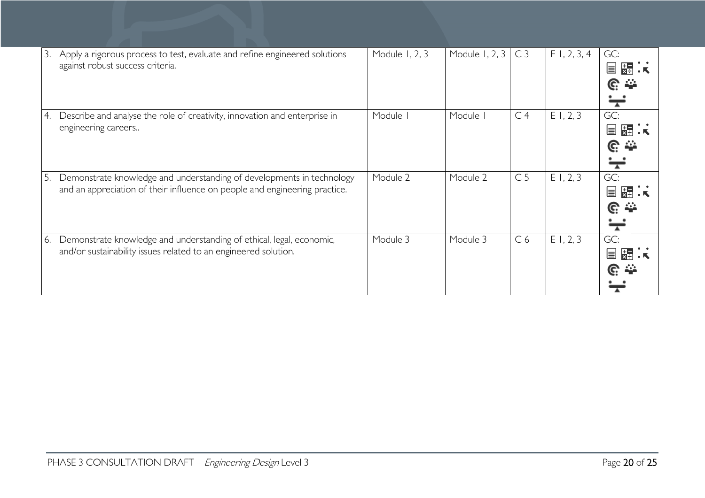| 3. | Apply a rigorous process to test, evaluate and refine engineered solutions<br>against robust success criteria.                                      | Module 1, 2, 3 | Module 1, 2, 3 | C <sub>3</sub> | $E$ 1, 2, 3, 4 | GC:<br>물<br>Ħ             |
|----|-----------------------------------------------------------------------------------------------------------------------------------------------------|----------------|----------------|----------------|----------------|---------------------------|
| 4. | Describe and analyse the role of creativity, innovation and enterprise in<br>engineering careers                                                    | Module I       | Module I       | C <sub>4</sub> | E1, 2, 3       | GC:<br>Ħ<br><u>ନ୍</u> ଥ କ |
| 5. | Demonstrate knowledge and understanding of developments in technology<br>and an appreciation of their influence on people and engineering practice. | Module 2       | Module 2       | C <sub>5</sub> | E1, 2, 3       | GC:<br>C.                 |
| 6. | Demonstrate knowledge and understanding of ethical, legal, economic,<br>and/or sustainability issues related to an engineered solution.             | Module 3       | Module 3       | C <sub>6</sub> | E1, 2, 3       | GC:<br>⊫                  |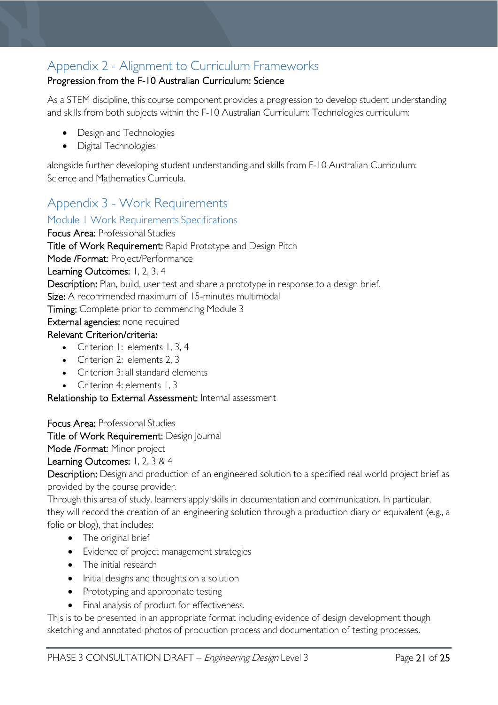# <span id="page-20-0"></span>Appendix 2 - Alignment to Curriculum Frameworks

### Progression from the F-10 Australian Curriculum: Science

As a STEM discipline, this course component provides a progression to develop student understanding and skills from both subjects within the F-10 Australian Curriculum: Technologies curriculum:

- Design and Technologies
- Digital Technologies

alongside further developing student understanding and skills from F-10 Australian Curriculum: Science and Mathematics Curricula.

# <span id="page-20-1"></span>Appendix 3 - Work Requirements

### <span id="page-20-2"></span>Module 1 Work Requirements Specifications

Focus Area: Professional Studies Title of Work Requirement: Rapid Prototype and Design Pitch Mode /Format: Project/Performance Learning Outcomes: 1, 2, 3, 4 Description: Plan, build, user test and share a prototype in response to a design brief. Size: A recommended maximum of 15-minutes multimodal Timing: Complete prior to commencing Module 3 External agencies: none required Relevant Criterion/criteria: • Criterion I: elements 1, 3, 4

- Criterion 2: elements 2, 3
- Criterion 3: all standard elements
- Criterion 4: elements 1, 3

Relationship to External Assessment: Internal assessment

Focus Area: Professional Studies

Title of Work Requirement: Design Journal

Mode /Format: Minor project

Learning Outcomes: 1, 2, 3 & 4

Description: Design and production of an engineered solution to a specified real world project brief as provided by the course provider.

Through this area of study, learners apply skills in documentation and communication. In particular, they will record the creation of an engineering solution through a production diary or equivalent (e.g., a folio or blog), that includes:

- The original brief
- Evidence of project management strategies
- The initial research
- Initial designs and thoughts on a solution
- Prototyping and appropriate testing
- Final analysis of product for effectiveness.

This is to be presented in an appropriate format including evidence of design development though sketching and annotated photos of production process and documentation of testing processes.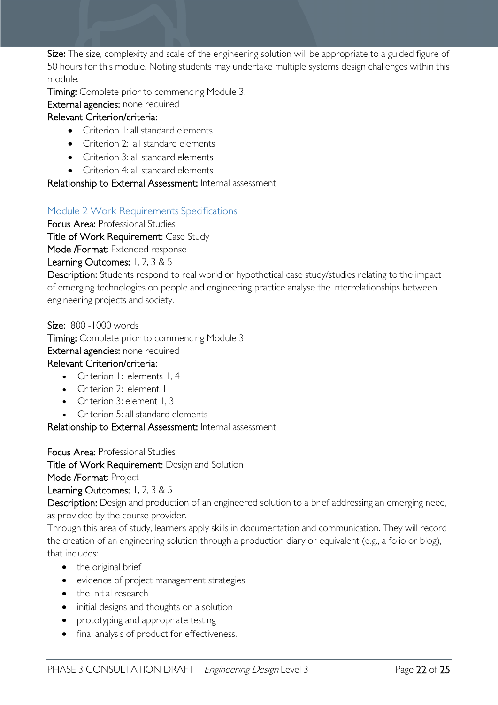Size: The size, complexity and scale of the engineering solution will be appropriate to a guided figure of 50 hours for this module. Noting students may undertake multiple systems design challenges within this module.

Timing: Complete prior to commencing Module 3.

External agencies: none required

### Relevant Criterion/criteria:

- Criterion 1: all standard elements
- Criterion 2: all standard elements
- Criterion 3: all standard elements
- Criterion 4: all standard elements

### Relationship to External Assessment: Internal assessment

### <span id="page-21-0"></span>Module 2 Work Requirements Specifications

Focus Area: Professional Studies

Title of Work Requirement: Case Study

Mode /Format: Extended response

### Learning Outcomes: 1, 2, 3 & 5

Description: Students respond to real world or hypothetical case study/studies relating to the impact of emerging technologies on people and engineering practice analyse the interrelationships between engineering projects and society.

Size: 800 -1000 words Timing: Complete prior to commencing Module 3 External agencies: none required Relevant Criterion/criteria: • Criterion I: elements I.4

- Criterion 2: element I
- Criterion 3: element 1, 3
- Criterion 5: all standard elements

Relationship to External Assessment: Internal assessment

Focus Area: Professional Studies

Title of Work Requirement: Design and Solution

Mode /Format: Project

Learning Outcomes: 1, 2, 3 & 5

Description: Design and production of an engineered solution to a brief addressing an emerging need, as provided by the course provider.

Through this area of study, learners apply skills in documentation and communication. They will record the creation of an engineering solution through a production diary or equivalent (e.g., a folio or blog), that includes:

- the original brief
- evidence of project management strategies
- the initial research
- initial designs and thoughts on a solution
- prototyping and appropriate testing
- final analysis of product for effectiveness.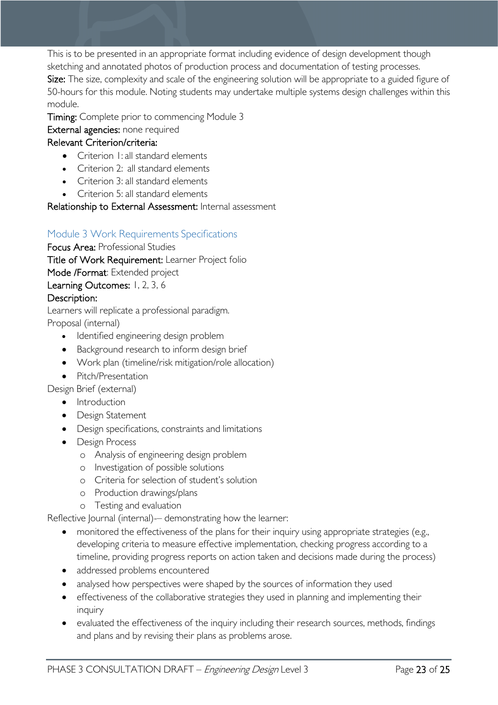This is to be presented in an appropriate format including evidence of design development though sketching and annotated photos of production process and documentation of testing processes. Size: The size, complexity and scale of the engineering solution will be appropriate to a guided figure of 50-hours for this module. Noting students may undertake multiple systems design challenges within this module.

Timing: Complete prior to commencing Module 3

### External agencies: none required

### Relevant Criterion/criteria:

- Criterion 1: all standard elements
- Criterion 2: all standard elements
- Criterion 3: all standard elements
- Criterion 5: all standard elements

Relationship to External Assessment: Internal assessment

### <span id="page-22-0"></span>Module 3 Work Requirements Specifications

Focus Area: Professional Studies Title of Work Requirement: Learner Project folio

Mode /Format: Extended project

Learning Outcomes: 1, 2, 3, 6

### Description:

Learners will replicate a professional paradigm. Proposal (internal)

- Identified engineering design problem
- Background research to inform design brief
- Work plan (timeline/risk mitigation/role allocation)
- Pitch/Presentation

Design Brief (external)

- Introduction
- Design Statement
- Design specifications, constraints and limitations
- Design Process
	- o Analysis of engineering design problem
	- o Investigation of possible solutions
	- o Criteria for selection of student's solution
	- o Production drawings/plans
	- o Testing and evaluation

Reflective Journal (internal)- demonstrating how the learner:

- monitored the effectiveness of the plans for their inquiry using appropriate strategies (e.g., developing criteria to measure effective implementation, checking progress according to a timeline, providing progress reports on action taken and decisions made during the process)
- addressed problems encountered
- analysed how perspectives were shaped by the sources of information they used
- effectiveness of the collaborative strategies they used in planning and implementing their inquiry
- evaluated the effectiveness of the inquiry including their research sources, methods, findings and plans and by revising their plans as problems arose.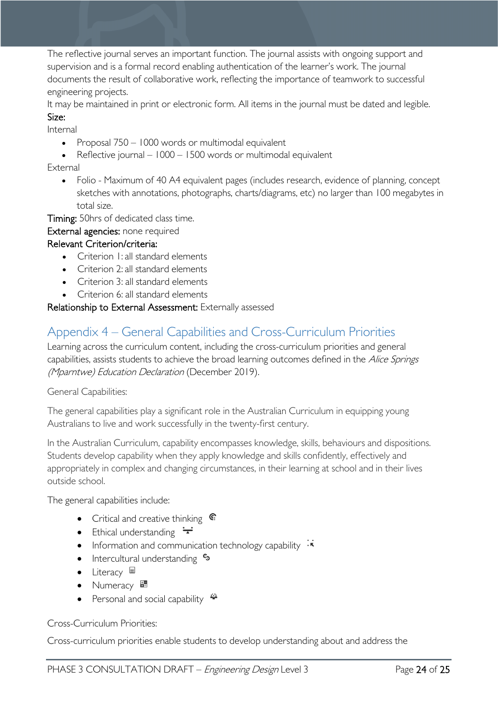The reflective journal serves an important function. The journal assists with ongoing support and supervision and is a formal record enabling authentication of the learner's work. The journal documents the result of collaborative work, reflecting the importance of teamwork to successful engineering projects.

It may be maintained in print or electronic form. All items in the journal must be dated and legible. Size:

Internal

- Proposal 750 1000 words or multimodal equivalent
- Reflective journal 1000 1500 words or multimodal equivalent

External

• Folio - Maximum of 40 A4 equivalent pages (includes research, evidence of planning, concept sketches with annotations, photographs, charts/diagrams, etc) no larger than 100 megabytes in total size.

Timing: 50hrs of dedicated class time.

External agencies: none required

#### Relevant Criterion/criteria:

- Criterion 1: all standard elements
- Criterion 2: all standard elements
- Criterion 3: all standard elements
- Criterion 6: all standard elements

Relationship to External Assessment: Externally assessed

# <span id="page-23-0"></span>Appendix 4 – General Capabilities and Cross-Curriculum Priorities

Learning across the curriculum content, including the cross-curriculum priorities and general capabilities, assists students to achieve the broad learning outcomes defined in the Alice Springs (Mparntwe) Education Declaration (December 2019).

General Capabilities:

The general capabilities play a significant role in the Australian Curriculum in equipping young Australians to live and work successfully in the twenty-first century.

In the Australian Curriculum, capability encompasses knowledge, skills, behaviours and dispositions. Students develop capability when they apply knowledge and skills confidently, effectively and appropriately in complex and changing circumstances, in their learning at school and in their lives outside school.

The general capabilities include:

- Critical and creative thinking  $\mathbb{C}$
- Ethical understanding  $\div$
- Information and communication technology capability  $\cdot \star$
- Intercultural understanding •
- Literacy  $\blacksquare$
- Numeracy
- Personal and social capability  $\ddot{\bullet}$

Cross-Curriculum Priorities:

Cross-curriculum priorities enable students to develop understanding about and address the